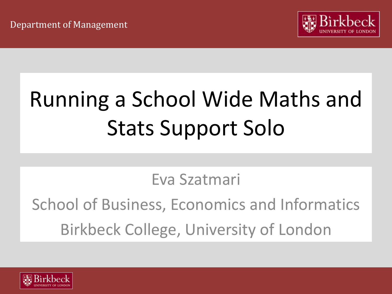

# Running a School Wide Maths and Stats Support Solo

Eva Szatmari

School of Business, Economics and Informatics Birkbeck College, University of London

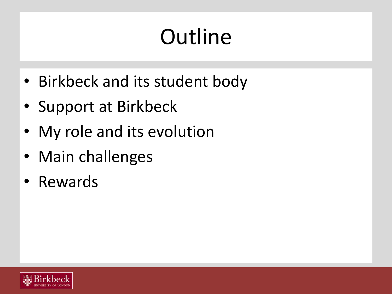# **Outline**

- Birkbeck and its student body
- Support at Birkbeck
- My role and its evolution
- Main challenges
- Rewards

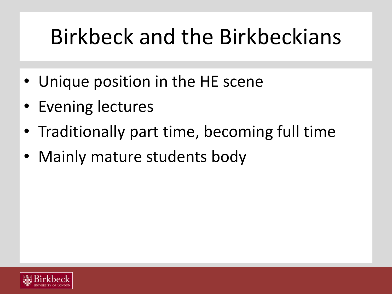### Birkbeck and the Birkbeckians

- Unique position in the HE scene
- **Evening lectures**
- Traditionally part time, becoming full time
- Mainly mature students body

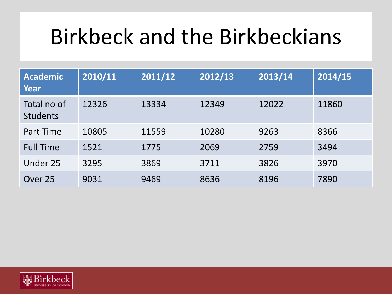### Birkbeck and the Birkbeckians

| <b>Academic</b><br>Year        | 2010/11 | 2011/12 | 2012/13 | 2013/14 | 2014/15 |
|--------------------------------|---------|---------|---------|---------|---------|
| Total no of<br><b>Students</b> | 12326   | 13334   | 12349   | 12022   | 11860   |
| Part Time                      | 10805   | 11559   | 10280   | 9263    | 8366    |
| <b>Full Time</b>               | 1521    | 1775    | 2069    | 2759    | 3494    |
| Under 25                       | 3295    | 3869    | 3711    | 3826    | 3970    |
| Over 25                        | 9031    | 9469    | 8636    | 8196    | 7890    |

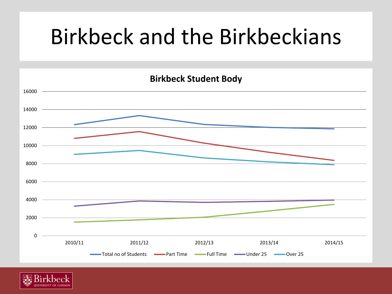### Birkbeck and the Birkbeckians



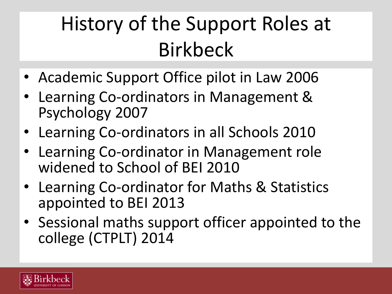### History of the Support Roles at Birkbeck

- Academic Support Office pilot in Law 2006
- Learning Co-ordinators in Management & Psychology 2007
- Learning Co-ordinators in all Schools 2010
- Learning Co-ordinator in Management role widened to School of BEI 2010
- Learning Co-ordinator for Maths & Statistics appointed to BEI 2013
- Sessional maths support officer appointed to the college (CTPLT) 2014

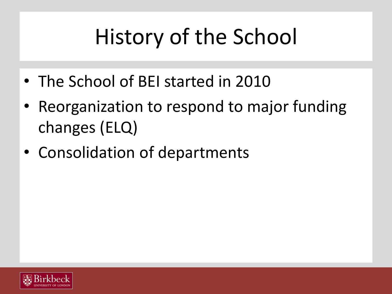# History of the School

- The School of BEI started in 2010
- Reorganization to respond to major funding changes (ELQ)
- Consolidation of departments

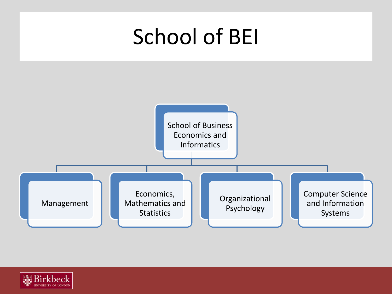

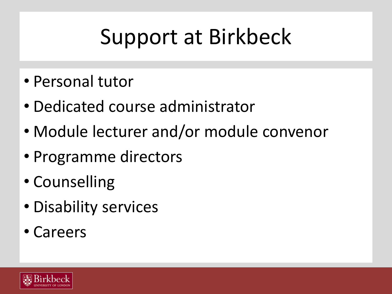## Support at Birkbeck

- Personal tutor
- Dedicated course administrator
- Module lecturer and/or module convenor
- Programme directors
- Counselling
- Disability services
- Careers

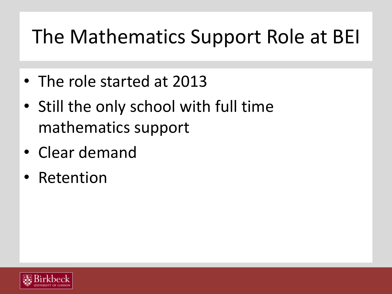#### The Mathematics Support Role at BEI

- The role started at 2013
- Still the only school with full time mathematics support
- Clear demand
- **Retention**

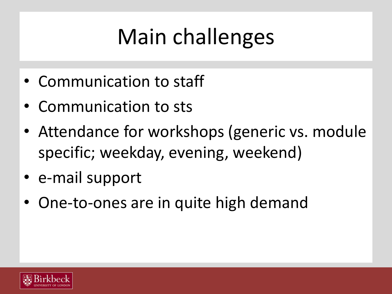- Communication to staff
- Communication to sts
- Attendance for workshops (generic vs. module specific; weekday, evening, weekend)
- e-mail support
- One-to-ones are in quite high demand

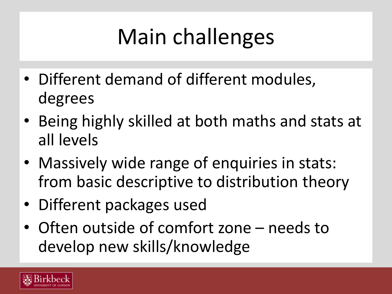- Different demand of different modules, degrees
- Being highly skilled at both maths and stats at all levels
- Massively wide range of enquiries in stats: from basic descriptive to distribution theory
- Different packages used
- Often outside of comfort zone needs to develop new skills/knowledge

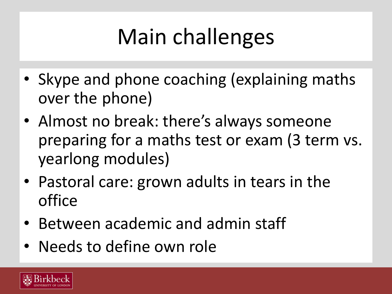- Skype and phone coaching (explaining maths over the phone)
- Almost no break: there's always someone preparing for a maths test or exam (3 term vs. yearlong modules)
- Pastoral care: grown adults in tears in the office
- Between academic and admin staff
- Needs to define own role

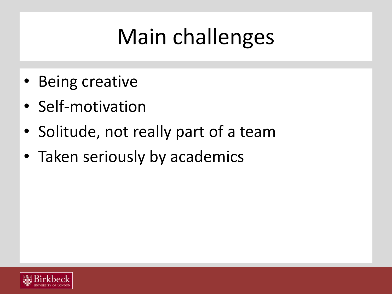- Being creative
- Self-motivation
- Solitude, not really part of a team
- Taken seriously by academics

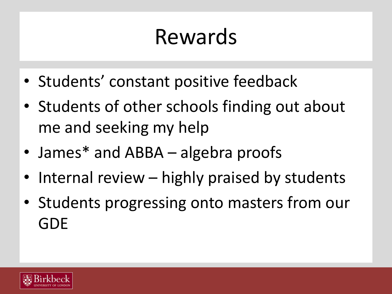### Rewards

- Students' constant positive feedback
- Students of other schools finding out about me and seeking my help
- James\* and ABBA algebra proofs
- Internal review highly praised by students
- Students progressing onto masters from our GDE